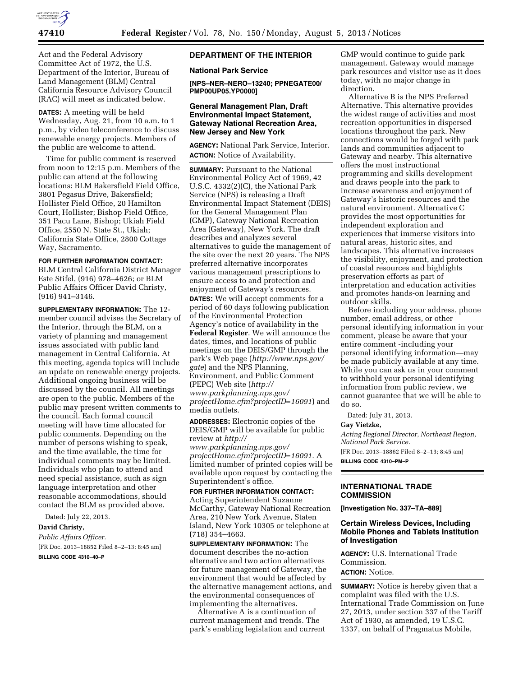

Act and the Federal Advisory Committee Act of 1972, the U.S. Department of the Interior, Bureau of Land Management (BLM) Central California Resource Advisory Council (RAC) will meet as indicated below.

**DATES:** A meeting will be held Wednesday, Aug. 21, from 10 a.m. to 1 p.m., by video teleconference to discuss renewable energy projects. Members of the public are welcome to attend.

Time for public comment is reserved from noon to 12:15 p.m. Members of the public can attend at the following locations: BLM Bakersfield Field Office, 3801 Pegasus Drive, Bakersfield; Hollister Field Office, 20 Hamilton Court, Hollister; Bishop Field Office, 351 Pacu Lane, Bishop; Ukiah Field Office, 2550 N. State St., Ukiah; California State Office, 2800 Cottage Way, Sacramento.

# **FOR FURTHER INFORMATION CONTACT:**

BLM Central California District Manager Este Stifel, (916) 978–4626; or BLM Public Affairs Officer David Christy, (916) 941–3146.

**SUPPLEMENTARY INFORMATION:** The 12 member council advises the Secretary of the Interior, through the BLM, on a variety of planning and management issues associated with public land management in Central California. At this meeting, agenda topics will include an update on renewable energy projects. Additional ongoing business will be discussed by the council. All meetings are open to the public. Members of the public may present written comments to the council. Each formal council meeting will have time allocated for public comments. Depending on the number of persons wishing to speak, and the time available, the time for individual comments may be limited. Individuals who plan to attend and need special assistance, such as sign language interpretation and other reasonable accommodations, should contact the BLM as provided above.

Dated: July 22, 2013.

#### **David Christy,**

*Public Affairs Officer.*  [FR Doc. 2013–18852 Filed 8–2–13; 8:45 am]

**BILLING CODE 4310–40–P** 

## **DEPARTMENT OF THE INTERIOR**

#### **National Park Service**

**[NPS–NER–NERO–13240; PPNEGATE00/ PMP00UP05.YP0000]** 

## **General Management Plan, Draft Environmental Impact Statement, Gateway National Recreation Area, New Jersey and New York**

**AGENCY:** National Park Service, Interior. **ACTION:** Notice of Availability.

**SUMMARY: Pursuant to the National** Environmental Policy Act of 1969, 42 U.S.C. 4332(2)(C), the National Park Service (NPS) is releasing a Draft Environmental Impact Statement (DEIS) for the General Management Plan (GMP), Gateway National Recreation Area (Gateway), New York. The draft describes and analyzes several alternatives to guide the management of the site over the next 20 years. The NPS preferred alternative incorporates various management prescriptions to ensure access to and protection and enjoyment of Gateway's resources. **DATES:** We will accept comments for a period of 60 days following publication of the Environmental Protection Agency's notice of availability in the **Federal Register**. We will announce the dates, times, and locations of public meetings on the DEIS/GMP through the park's Web page (*[http://www.nps.gov/](http://www.nps.gov/gate)  [gate](http://www.nps.gov/gate)*) and the NPS Planning, Environment, and Public Comment (PEPC) Web site (*[http://](http://www.parkplanning.nps.gov/projectHome.cfm?projectID=16091) [www.parkplanning.nps.gov/](http://www.parkplanning.nps.gov/projectHome.cfm?projectID=16091)  [projectHome.cfm?projectID=16091](http://www.parkplanning.nps.gov/projectHome.cfm?projectID=16091)*) and media outlets.

**ADDRESSES:** Electronic copies of the DEIS/GMP will be available for public review at *[http://](http://www.parkplanning.nps.gov/projectHome.cfm?projectID=16091)  [www.parkplanning.nps.gov/](http://www.parkplanning.nps.gov/projectHome.cfm?projectID=16091)  [projectHome.cfm?projectID=16091.](http://www.parkplanning.nps.gov/projectHome.cfm?projectID=16091)* A limited number of printed copies will be available upon request by contacting the Superintendent's office.

#### **FOR FURTHER INFORMATION CONTACT:**

Acting Superintendent Suzanne McCarthy, Gateway National Recreation Area, 210 New York Avenue, Staten Island, New York 10305 or telephone at (718) 354–4663.

**SUPPLEMENTARY INFORMATION:** The document describes the no-action alternative and two action alternatives for future management of Gateway, the environment that would be affected by the alternative management actions, and the environmental consequences of implementing the alternatives.

Alternative A is a continuation of current management and trends. The park's enabling legislation and current GMP would continue to guide park management. Gateway would manage park resources and visitor use as it does today, with no major change in direction.

Alternative B is the NPS Preferred Alternative. This alternative provides the widest range of activities and most recreation opportunities in dispersed locations throughout the park. New connections would be forged with park lands and communities adjacent to Gateway and nearby. This alternative offers the most instructional programming and skills development and draws people into the park to increase awareness and enjoyment of Gateway's historic resources and the natural environment. Alternative C provides the most opportunities for independent exploration and experiences that immerse visitors into natural areas, historic sites, and landscapes. This alternative increases the visibility, enjoyment, and protection of coastal resources and highlights preservation efforts as part of interpretation and education activities and promotes hands-on learning and outdoor skills.

Before including your address, phone number, email address, or other personal identifying information in your comment, please be aware that your entire comment -including your personal identifying information—may be made publicly available at any time. While you can ask us in your comment to withhold your personal identifying information from public review, we cannot guarantee that we will be able to do so.

Dated: July 31, 2013.

### **Gay Vietzke,**

*Acting Regional Director, Northeast Region, National Park Service.* 

[FR Doc. 2013–18862 Filed 8–2–13; 8:45 am] **BILLING CODE 4310–PM–P** 

### **INTERNATIONAL TRADE COMMISSION**

**[Investigation No. 337–TA–889]** 

## **Certain Wireless Devices, Including Mobile Phones and Tablets Institution of Investigation**

**AGENCY:** U.S. International Trade Commission. **ACTION:** Notice.

**SUMMARY:** Notice is hereby given that a complaint was filed with the U.S. International Trade Commission on June 27, 2013, under section 337 of the Tariff Act of 1930, as amended, 19 U.S.C. 1337, on behalf of Pragmatus Mobile,